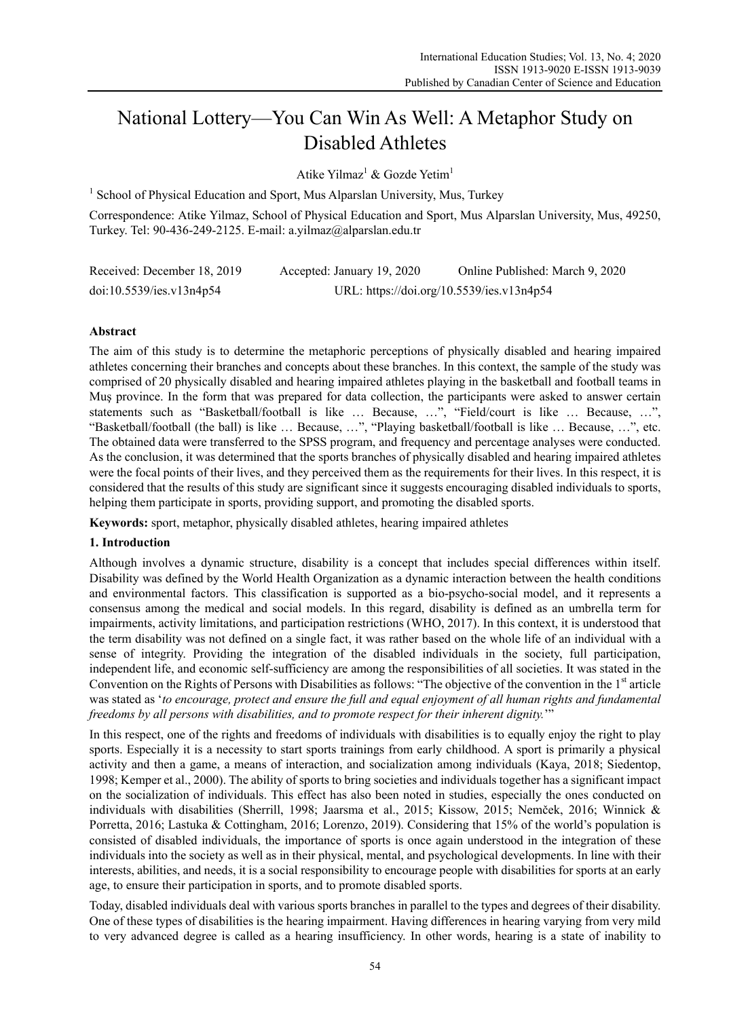# National Lottery—You Can Win As Well: A Metaphor Study on Disabled Athletes

Atike Yilmaz<sup>1</sup> & Gozde Yetim<sup>1</sup>

<sup>1</sup> School of Physical Education and Sport, Mus Alparslan University, Mus, Turkey

Correspondence: Atike Yilmaz, School of Physical Education and Sport, Mus Alparslan University, Mus, 49250, Turkey. Tel: 90-436-249-2125. E-mail: a.yilmaz@alparslan.edu.tr

| Received: December 18, 2019 | Accepted: January 19, 2020 | Online Published: March 9, 2020           |
|-----------------------------|----------------------------|-------------------------------------------|
| doi:10.5539/ies.v13n4p54    |                            | URL: https://doi.org/10.5539/ies.v13n4p54 |

# **Abstract**

The aim of this study is to determine the metaphoric perceptions of physically disabled and hearing impaired athletes concerning their branches and concepts about these branches. In this context, the sample of the study was comprised of 20 physically disabled and hearing impaired athletes playing in the basketball and football teams in Muş province. In the form that was prepared for data collection, the participants were asked to answer certain statements such as "Basketball/football is like … Because, …", "Field/court is like … Because, …", "Basketball/football (the ball) is like … Because, …", "Playing basketball/football is like … Because, …", etc. The obtained data were transferred to the SPSS program, and frequency and percentage analyses were conducted. As the conclusion, it was determined that the sports branches of physically disabled and hearing impaired athletes were the focal points of their lives, and they perceived them as the requirements for their lives. In this respect, it is considered that the results of this study are significant since it suggests encouraging disabled individuals to sports, helping them participate in sports, providing support, and promoting the disabled sports.

**Keywords:** sport, metaphor, physically disabled athletes, hearing impaired athletes

# **1. Introduction**

Although involves a dynamic structure, disability is a concept that includes special differences within itself. Disability was defined by the World Health Organization as a dynamic interaction between the health conditions and environmental factors. This classification is supported as a bio-psycho-social model, and it represents a consensus among the medical and social models. In this regard, disability is defined as an umbrella term for impairments, activity limitations, and participation restrictions (WHO, 2017). In this context, it is understood that the term disability was not defined on a single fact, it was rather based on the whole life of an individual with a sense of integrity. Providing the integration of the disabled individuals in the society, full participation, independent life, and economic self-sufficiency are among the responsibilities of all societies. It was stated in the Convention on the Rights of Persons with Disabilities as follows: "The objective of the convention in the 1<sup>st</sup> article was stated as '*to encourage, protect and ensure the full and equal enjoyment of all human rights and fundamental freedoms by all persons with disabilities, and to promote respect for their inherent dignity.*'"

In this respect, one of the rights and freedoms of individuals with disabilities is to equally enjoy the right to play sports. Especially it is a necessity to start sports trainings from early childhood. A sport is primarily a physical activity and then a game, a means of interaction, and socialization among individuals (Kaya, 2018; Siedentop, 1998; Kemper et al., 2000). The ability of sports to bring societies and individuals together has a significant impact on the socialization of individuals. This effect has also been noted in studies, especially the ones conducted on individuals with disabilities (Sherrill, 1998; Jaarsma et al., 2015; Kissow, 2015; Nemček, 2016; Winnick & Porretta, 2016; Lastuka & Cottingham, 2016; Lorenzo, 2019). Considering that 15% of the world's population is consisted of disabled individuals, the importance of sports is once again understood in the integration of these individuals into the society as well as in their physical, mental, and psychological developments. In line with their interests, abilities, and needs, it is a social responsibility to encourage people with disabilities for sports at an early age, to ensure their participation in sports, and to promote disabled sports.

Today, disabled individuals deal with various sports branches in parallel to the types and degrees of their disability. One of these types of disabilities is the hearing impairment. Having differences in hearing varying from very mild to very advanced degree is called as a hearing insufficiency. In other words, hearing is a state of inability to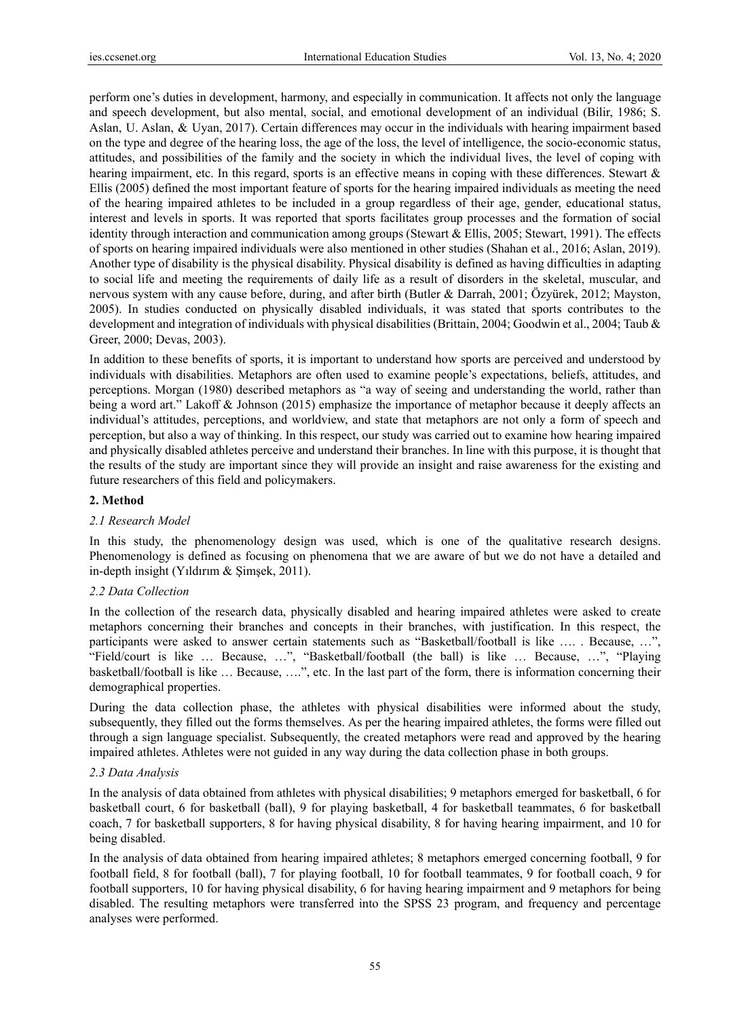perform one's duties in development, harmony, and especially in communication. It affects not only the language and speech development, but also mental, social, and emotional development of an individual (Bilir, 1986; S. Aslan, U. Aslan, & Uyan, 2017). Certain differences may occur in the individuals with hearing impairment based on the type and degree of the hearing loss, the age of the loss, the level of intelligence, the socio-economic status, attitudes, and possibilities of the family and the society in which the individual lives, the level of coping with hearing impairment, etc. In this regard, sports is an effective means in coping with these differences. Stewart & Ellis (2005) defined the most important feature of sports for the hearing impaired individuals as meeting the need of the hearing impaired athletes to be included in a group regardless of their age, gender, educational status, interest and levels in sports. It was reported that sports facilitates group processes and the formation of social identity through interaction and communication among groups (Stewart & Ellis, 2005; Stewart, 1991). The effects of sports on hearing impaired individuals were also mentioned in other studies (Shahan et al., 2016; Aslan, 2019). Another type of disability is the physical disability. Physical disability is defined as having difficulties in adapting to social life and meeting the requirements of daily life as a result of disorders in the skeletal, muscular, and nervous system with any cause before, during, and after birth (Butler & Darrah, 2001; Özyürek, 2012; Mayston, 2005). In studies conducted on physically disabled individuals, it was stated that sports contributes to the development and integration of individuals with physical disabilities (Brittain, 2004; Goodwin et al., 2004; Taub & Greer, 2000; Devas, 2003).

In addition to these benefits of sports, it is important to understand how sports are perceived and understood by individuals with disabilities. Metaphors are often used to examine people's expectations, beliefs, attitudes, and perceptions. Morgan (1980) described metaphors as "a way of seeing and understanding the world, rather than being a word art." Lakoff & Johnson (2015) emphasize the importance of metaphor because it deeply affects an individual's attitudes, perceptions, and worldview, and state that metaphors are not only a form of speech and perception, but also a way of thinking. In this respect, our study was carried out to examine how hearing impaired and physically disabled athletes perceive and understand their branches. In line with this purpose, it is thought that the results of the study are important since they will provide an insight and raise awareness for the existing and future researchers of this field and policymakers.

# **2. Method**

# *2.1 Research Model*

In this study, the phenomenology design was used, which is one of the qualitative research designs. Phenomenology is defined as focusing on phenomena that we are aware of but we do not have a detailed and in-depth insight (Yıldırım & Şimşek, 2011).

# *2.2 Data Collection*

In the collection of the research data, physically disabled and hearing impaired athletes were asked to create metaphors concerning their branches and concepts in their branches, with justification. In this respect, the participants were asked to answer certain statements such as "Basketball/football is like …. . Because, …", "Field/court is like … Because, …", "Basketball/football (the ball) is like … Because, …", "Playing basketball/football is like … Because, ….", etc. In the last part of the form, there is information concerning their demographical properties.

During the data collection phase, the athletes with physical disabilities were informed about the study, subsequently, they filled out the forms themselves. As per the hearing impaired athletes, the forms were filled out through a sign language specialist. Subsequently, the created metaphors were read and approved by the hearing impaired athletes. Athletes were not guided in any way during the data collection phase in both groups.

# *2.3 Data Analysis*

In the analysis of data obtained from athletes with physical disabilities; 9 metaphors emerged for basketball, 6 for basketball court, 6 for basketball (ball), 9 for playing basketball, 4 for basketball teammates, 6 for basketball coach, 7 for basketball supporters, 8 for having physical disability, 8 for having hearing impairment, and 10 for being disabled.

In the analysis of data obtained from hearing impaired athletes; 8 metaphors emerged concerning football, 9 for football field, 8 for football (ball), 7 for playing football, 10 for football teammates, 9 for football coach, 9 for football supporters, 10 for having physical disability, 6 for having hearing impairment and 9 metaphors for being disabled. The resulting metaphors were transferred into the SPSS 23 program, and frequency and percentage analyses were performed.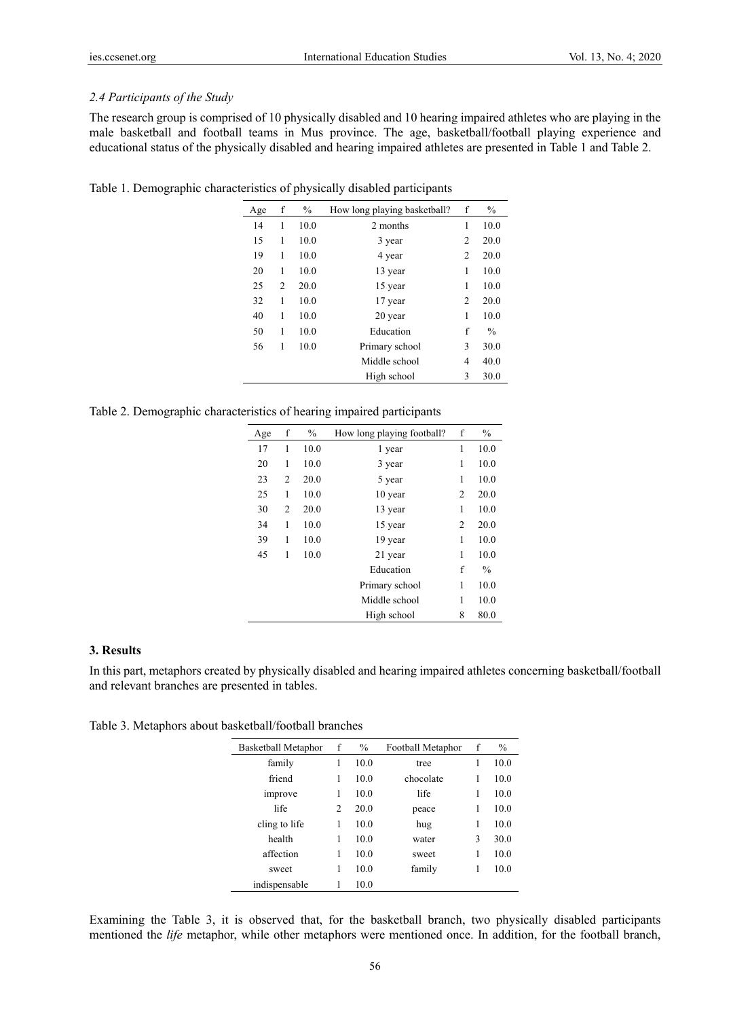# *2.4 Participants of the Study*

The research group is comprised of 10 physically disabled and 10 hearing impaired athletes who are playing in the male basketball and football teams in Mus province. The age, basketball/football playing experience and educational status of the physically disabled and hearing impaired athletes are presented in Table 1 and Table 2.

Table 1. Demographic characteristics of physically disabled participants

| Age | f | $\frac{0}{0}$ | How long playing basketball? | f              | $\%$          |
|-----|---|---------------|------------------------------|----------------|---------------|
| 14  | 1 | 10.0          | 2 months                     | 1              | 10.0          |
| 15  | 1 | 10.0          | 3 year                       | 2              | 20.0          |
| 19  | 1 | 10.0          | 4 year                       | 2              | 20.0          |
| 20  | 1 | 10.0          | 13 year                      | 1              | 10.0          |
| 25  | 2 | 20.0          | 15 year                      | 1              | 10.0          |
| 32  | 1 | 10.0          | 17 year                      | $\overline{c}$ | 20.0          |
| 40  | 1 | 10.0          | 20 year                      | 1              | 10.0          |
| 50  | 1 | 10.0          | Education                    | f              | $\frac{0}{0}$ |
| 56  | 1 | 10.0          | Primary school               | 3              | 30.0          |
|     |   |               | Middle school                | 4              | 40.0          |
|     |   |               | High school                  | 3              | 30.0          |

Table 2. Demographic characteristics of hearing impaired participants

| Age | f              | $\frac{0}{0}$ | How long playing football? | f | $\%$          |
|-----|----------------|---------------|----------------------------|---|---------------|
| 17  | 1              | 10.0          | 1 year                     | 1 | 10.0          |
| 20  | 1              | 10.0          | 3 year                     | 1 | 10.0          |
| 23  | 2              | 20.0          | 5 year                     | 1 | 10.0          |
| 25  | 1              | 10.0          | 10 year                    | 2 | 20.0          |
| 30  | $\overline{c}$ | 20.0          | 13 year                    | 1 | 10.0          |
| 34  | 1              | 10.0          | 15 year                    | 2 | 20.0          |
| 39  | 1              | 10.0          | 19 year                    | 1 | 10.0          |
| 45  | 1              | 10.0          | 21 year                    | 1 | 10.0          |
|     |                |               | Education                  | f | $\frac{0}{0}$ |
|     |                |               | Primary school             | 1 | 10.0          |
|     |                |               | Middle school              | 1 | 10.0          |
|     |                |               | High school                | 8 | 80.0          |

# **3. Results**

In this part, metaphors created by physically disabled and hearing impaired athletes concerning basketball/football and relevant branches are presented in tables.

Table 3. Metaphors about basketball/football branches

| f              | $\frac{0}{0}$ | Football Metaphor | f | $\frac{0}{0}$ |
|----------------|---------------|-------------------|---|---------------|
| 1              | 10.0          | tree              | 1 | 10.0          |
| 1              | 10.0          | chocolate         | 1 | 10.0          |
| 1              | 10.0          | life              | 1 | 10.0          |
| $\overline{c}$ | 20.0          | peace             | 1 | 10.0          |
| 1              | 10.0          | hug               | 1 | 10.0          |
| 1              | 10.0          | water             | 3 | 30.0          |
| 1              | 10.0          | sweet             | 1 | 10.0          |
| 1              | 10.0          | family            | 1 | 10.0          |
| 1              | 10.0          |                   |   |               |
|                |               |                   |   |               |

Examining the Table 3, it is observed that, for the basketball branch, two physically disabled participants mentioned the *life* metaphor, while other metaphors were mentioned once. In addition, for the football branch,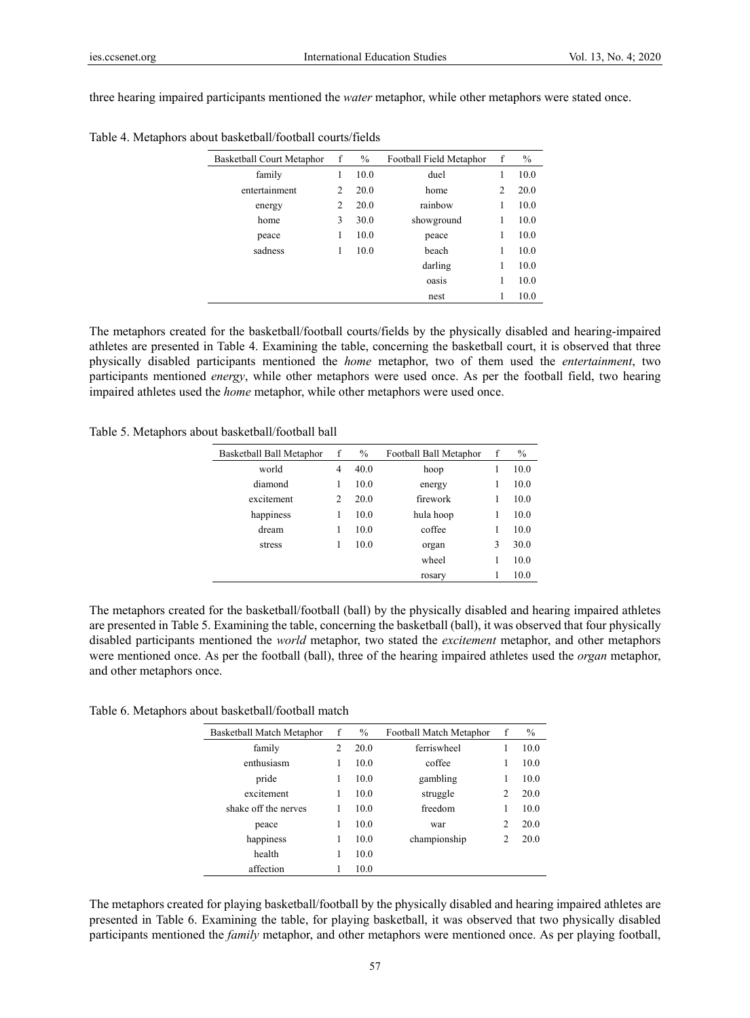three hearing impaired participants mentioned the *water* metaphor, while other metaphors were stated once.

| Basketball Court Metaphor | f | $\%$ | Football Field Metaphor | f | $\%$ |
|---------------------------|---|------|-------------------------|---|------|
| family                    | 1 | 10.0 | duel                    | 1 | 10.0 |
| entertainment             | 2 | 20.0 | home                    | 2 | 20.0 |
| energy                    | 2 | 20.0 | rainbow                 | 1 | 10.0 |
| home                      | 3 | 30.0 | showground              | 1 | 10.0 |
| peace                     | 1 | 10.0 | peace                   | 1 | 10.0 |
| sadness                   | 1 | 10.0 | beach                   | 1 | 10.0 |
|                           |   |      | darling                 | 1 | 10.0 |
|                           |   |      | oasis                   | 1 | 10.0 |
|                           |   |      | nest                    |   | 10.0 |

Table 4. Metaphors about basketball/football courts/fields

The metaphors created for the basketball/football courts/fields by the physically disabled and hearing-impaired athletes are presented in Table 4. Examining the table, concerning the basketball court, it is observed that three physically disabled participants mentioned the *home* metaphor, two of them used the *entertainment*, two participants mentioned *energy*, while other metaphors were used once. As per the football field, two hearing impaired athletes used the *home* metaphor, while other metaphors were used once.

Table 5. Metaphors about basketball/football ball

| Basketball Ball Metaphor | f              | $\frac{0}{0}$ | Football Ball Metaphor | f | $\frac{0}{0}$ |
|--------------------------|----------------|---------------|------------------------|---|---------------|
| world                    | 4              | 40.0          | hoop                   |   | 10.0          |
| diamond                  | 1              | 10.0          | energy                 |   | 10.0          |
| excitement               | $\overline{c}$ | 20.0          | firework               |   | 10.0          |
| happiness                | 1              | 10.0          | hula hoop              |   | 10.0          |
| dream                    | 1              | 10.0          | coffee                 |   | 10.0          |
| stress                   | 1              | 10.0          | organ                  |   | 30.0          |
|                          |                |               | wheel                  |   | 10.0          |
|                          |                |               | rosary                 |   | 10.0          |
|                          |                |               |                        |   |               |

The metaphors created for the basketball/football (ball) by the physically disabled and hearing impaired athletes are presented in Table 5. Examining the table, concerning the basketball (ball), it was observed that four physically disabled participants mentioned the *world* metaphor, two stated the *excitement* metaphor, and other metaphors were mentioned once. As per the football (ball), three of the hearing impaired athletes used the *organ* metaphor, and other metaphors once.

Table 6. Metaphors about basketball/football match

| Basketball Match Metaphor | f | $\frac{0}{0}$ | Football Match Metaphor | f              | $\frac{0}{0}$ |
|---------------------------|---|---------------|-------------------------|----------------|---------------|
| family                    | 2 | 20.0          | ferriswheel             |                | 10.0          |
| enthusiasm                |   | 10.0          | coffee                  | 1              | 10.0          |
| pride                     | 1 | 10.0          | gambling                | 1              | 10.0          |
| excitement                | 1 | 10.0          | struggle                | $\overline{c}$ | 20.0          |
| shake off the nerves      |   | 10.0          | freedom                 | 1              | 10.0          |
| peace                     |   | 10.0          | war                     | $\overline{c}$ | 20.0          |
| happiness                 |   | 10.0          | championship            | $\overline{c}$ | 20.0          |
| health                    | 1 | 10.0          |                         |                |               |
| affection                 |   | 10.0          |                         |                |               |
|                           |   |               |                         |                |               |

The metaphors created for playing basketball/football by the physically disabled and hearing impaired athletes are presented in Table 6. Examining the table, for playing basketball, it was observed that two physically disabled participants mentioned the *family* metaphor, and other metaphors were mentioned once. As per playing football,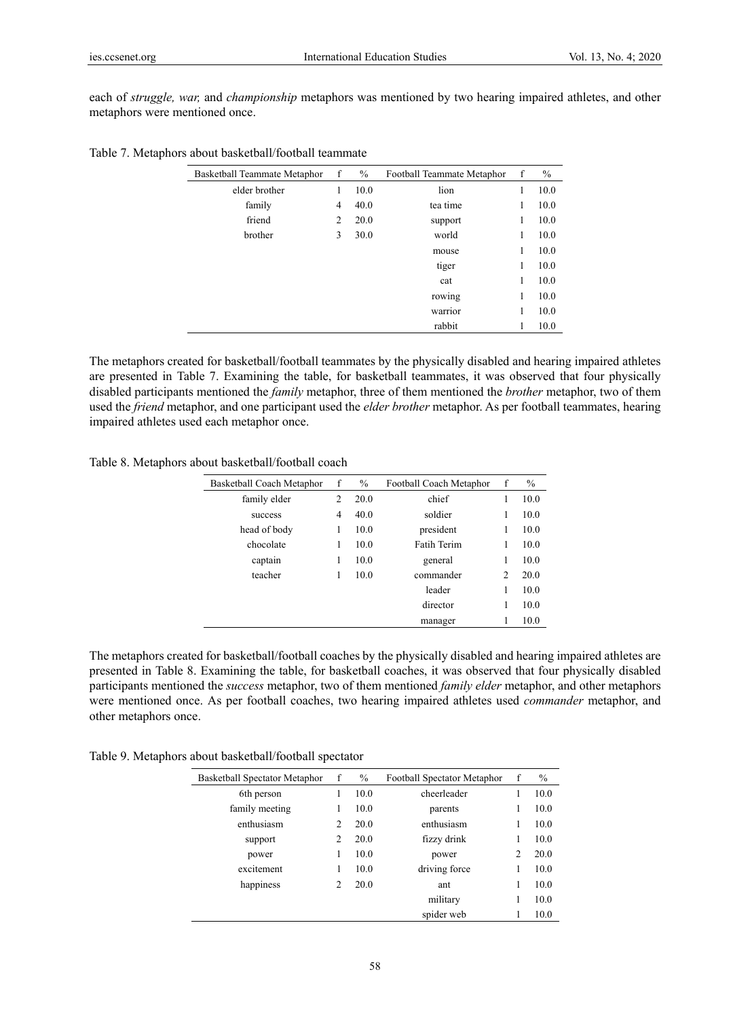each of *struggle, war,* and *championship* metaphors was mentioned by two hearing impaired athletes, and other metaphors were mentioned once.

| Basketball Teammate Metaphor | f | $\%$ | Football Teammate Metaphor | f | $\%$ |
|------------------------------|---|------|----------------------------|---|------|
| elder brother                | 1 | 10.0 | lion                       | 1 | 10.0 |
| family                       | 4 | 40.0 | tea time                   | 1 | 10.0 |
| friend                       | 2 | 20.0 | support                    | 1 | 10.0 |
| brother                      | 3 | 30.0 | world                      | 1 | 10.0 |
|                              |   |      | mouse                      | 1 | 10.0 |
|                              |   |      | tiger                      | 1 | 10.0 |
|                              |   |      | cat                        | 1 | 10.0 |
|                              |   |      | rowing                     | 1 | 10.0 |
|                              |   |      | warrior                    |   | 10.0 |
|                              |   |      | rabbit                     |   | 10.0 |

Table 7. Metaphors about basketball/football teammate

The metaphors created for basketball/football teammates by the physically disabled and hearing impaired athletes are presented in Table 7. Examining the table, for basketball teammates, it was observed that four physically disabled participants mentioned the *family* metaphor, three of them mentioned the *brother* metaphor, two of them used the *friend* metaphor, and one participant used the *elder brother* metaphor. As per football teammates, hearing impaired athletes used each metaphor once.

Table 8. Metaphors about basketball/football coach

| Basketball Coach Metaphor | f | $\frac{0}{0}$ | Football Coach Metaphor | f              | $\%$ |
|---------------------------|---|---------------|-------------------------|----------------|------|
| family elder              | 2 | 20.0          | chief                   | 1              | 10.0 |
| success                   | 4 | 40.0          | soldier                 | 1              | 10.0 |
| head of body              | 1 | 10.0          | president               | 1              | 10.0 |
| chocolate                 | 1 | 10.0          | <b>Fatih Terim</b>      | 1              | 10.0 |
| captain                   | 1 | 10.0          | general                 | 1              | 10.0 |
| teacher                   | 1 | 10.0          | commander               | $\overline{c}$ | 20.0 |
|                           |   |               | leader                  | 1              | 10.0 |
|                           |   |               | director                | 1              | 10.0 |
|                           |   |               | manager                 | 1              | 10.0 |
|                           |   |               |                         |                |      |

The metaphors created for basketball/football coaches by the physically disabled and hearing impaired athletes are presented in Table 8. Examining the table, for basketball coaches, it was observed that four physically disabled participants mentioned the *success* metaphor, two of them mentioned *family elder* metaphor, and other metaphors were mentioned once. As per football coaches, two hearing impaired athletes used *commander* metaphor, and other metaphors once.

Table 9. Metaphors about basketball/football spectator

| Basketball Spectator Metaphor |                | f<br>$\%$<br>Football Spectator Metaphor |               | f              | $\%$ |
|-------------------------------|----------------|------------------------------------------|---------------|----------------|------|
| 6th person                    |                | 10.0                                     | cheerleader   |                | 10.0 |
| family meeting                |                | 10.0                                     | parents       | 1              | 10.0 |
| enthusiasm                    | 2              | 20.0                                     | enthusiasm    | 1              | 10.0 |
| support                       | 2              | 20.0                                     | fizzy drink   | 1              | 10.0 |
| power                         |                | 10.0                                     | power         | $\overline{c}$ | 20.0 |
| excitement                    |                | 10.0                                     | driving force | 1              | 10.0 |
| happiness                     | $\mathfrak{D}$ | 20.0                                     | ant           | 1              | 10.0 |
|                               |                |                                          | military      | 1              | 10.0 |
|                               |                |                                          | spider web    |                | 10.0 |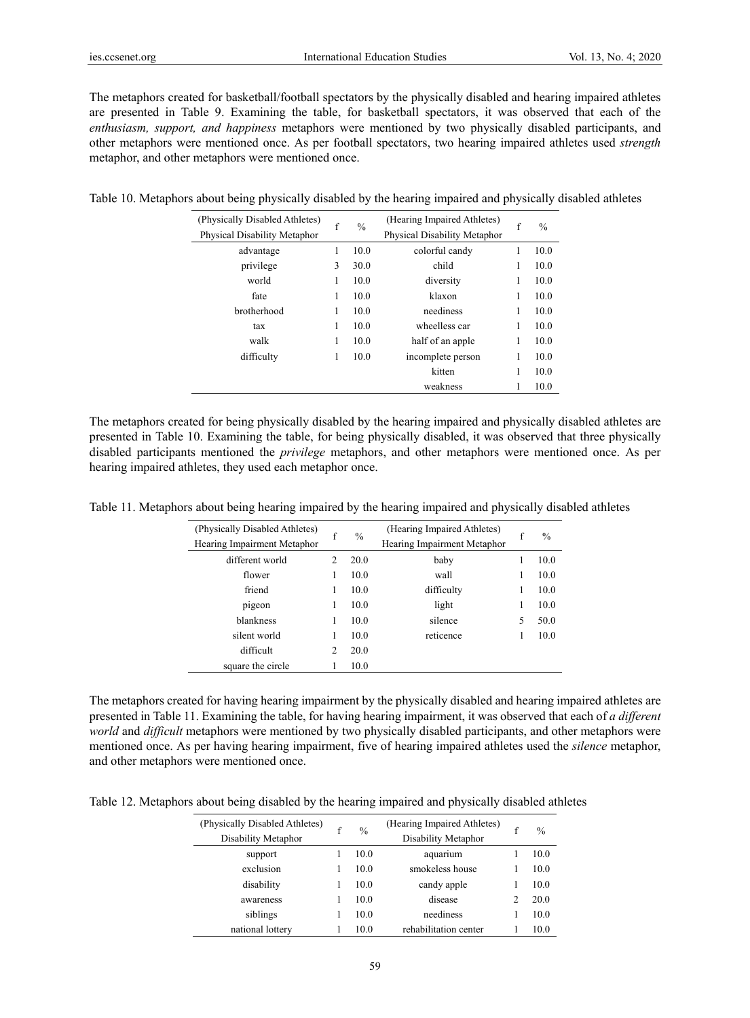The metaphors created for basketball/football spectators by the physically disabled and hearing impaired athletes are presented in Table 9. Examining the table, for basketball spectators, it was observed that each of the *enthusiasm, support, and happiness* metaphors were mentioned by two physically disabled participants, and other metaphors were mentioned once. As per football spectators, two hearing impaired athletes used *strength* metaphor, and other metaphors were mentioned once.

| (Physically Disabled Athletes) | f | $\frac{0}{0}$ | (Hearing Impaired Athletes)  | f | $\frac{0}{0}$ |
|--------------------------------|---|---------------|------------------------------|---|---------------|
| Physical Disability Metaphor   |   |               | Physical Disability Metaphor |   |               |
| advantage                      | 1 | 10.0          | colorful candy               | 1 | 10.0          |
| privilege                      | 3 | 30.0          | child                        | 1 | 10.0          |
| world                          | 1 | 10.0          | diversity                    | 1 | 10.0          |
| fate                           | 1 | 10.0          | klaxon                       | 1 | 10.0          |
| brotherhood                    | 1 | 10.0          | neediness                    | 1 | 10.0          |
| tax                            | 1 | 10.0          | wheelless car                | 1 | 10.0          |
| walk                           | 1 | 10.0          | half of an apple             | 1 | 10.0          |
| difficulty                     | 1 | 10.0          | incomplete person            |   | 10.0          |
|                                |   |               | kitten                       | 1 | 10.0          |
|                                |   |               | weakness                     |   | 10.0          |

Table 10. Metaphors about being physically disabled by the hearing impaired and physically disabled athletes

The metaphors created for being physically disabled by the hearing impaired and physically disabled athletes are presented in Table 10. Examining the table, for being physically disabled, it was observed that three physically disabled participants mentioned the *privilege* metaphors, and other metaphors were mentioned once. As per hearing impaired athletes, they used each metaphor once.

| Table 11. Metaphors about being hearing impaired by the hearing impaired and physically disabled athletes |  |  |  |
|-----------------------------------------------------------------------------------------------------------|--|--|--|
|                                                                                                           |  |  |  |

| (Physically Disabled Athletes)<br>Hearing Impairment Metaphor | $\mathbf f$ | $\frac{0}{0}$ | (Hearing Impaired Athletes)<br>Hearing Impairment Metaphor | f | $\frac{0}{0}$ |
|---------------------------------------------------------------|-------------|---------------|------------------------------------------------------------|---|---------------|
| different world                                               | 2           | 20.0          | baby                                                       |   | 10.0          |
| flower                                                        | 1           | 10.0          | wall                                                       |   | 10.0          |
| friend                                                        | 1           | 10.0          | difficulty                                                 | 1 | 10.0          |
| pigeon                                                        | 1           | 10.0          | light                                                      |   | 10.0          |
| blankness                                                     |             | 10.0          | silence                                                    | 5 | 50.0          |
| silent world                                                  |             | 10.0          | reticence                                                  |   | 10.0          |
| difficult                                                     | 2           | 20.0          |                                                            |   |               |
| square the circle                                             |             | 10.0          |                                                            |   |               |

The metaphors created for having hearing impairment by the physically disabled and hearing impaired athletes are presented in Table 11. Examining the table, for having hearing impairment, it was observed that each of *a different world* and *difficult* metaphors were mentioned by two physically disabled participants, and other metaphors were mentioned once. As per having hearing impairment, five of hearing impaired athletes used the *silence* metaphor, and other metaphors were mentioned once.

Table 12. Metaphors about being disabled by the hearing impaired and physically disabled athletes

| (Physically Disabled Athletes)<br>Disability Metaphor | f | $\frac{0}{0}$ | (Hearing Impaired Athletes)<br>Disability Metaphor | f | $\%$ |
|-------------------------------------------------------|---|---------------|----------------------------------------------------|---|------|
| support                                               |   | 10.0          | aquarium                                           |   | 10.0 |
| exclusion                                             |   | 10.0          | smokeless house                                    |   | 10.0 |
| disability                                            |   | 10.0          | candy apple                                        |   | 10.0 |
| awareness                                             |   | 10.0          | disease                                            |   | 20.0 |
| siblings                                              |   | 10.0          | neediness                                          |   | 10.0 |
| national lottery                                      |   | 10.0          | rehabilitation center                              |   | 10.0 |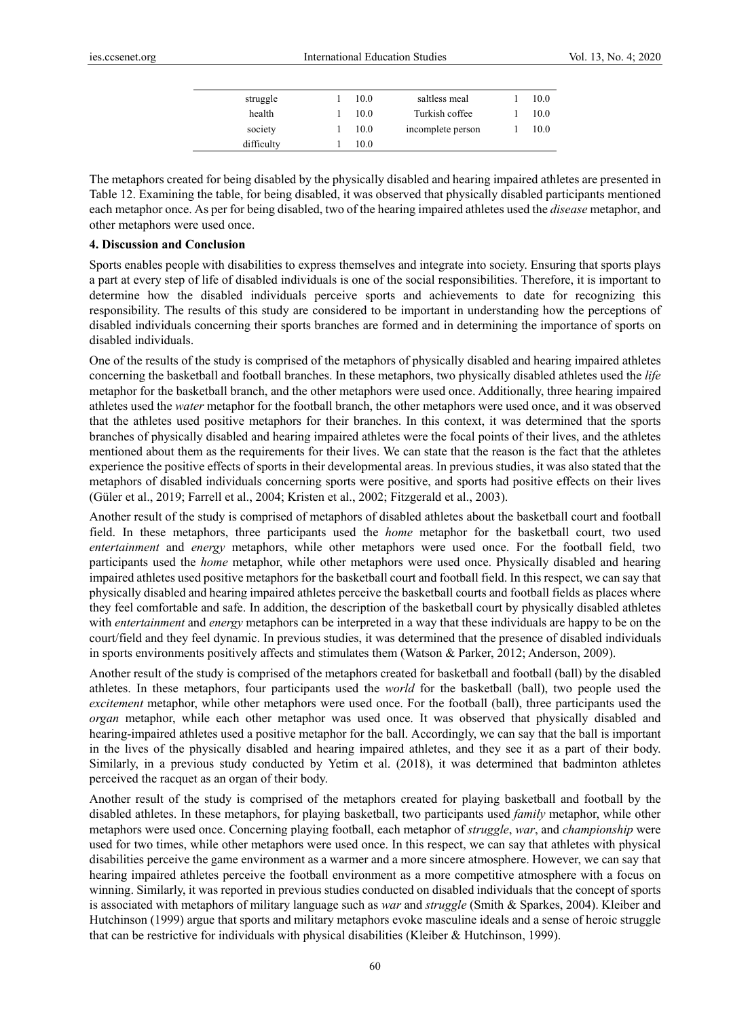| struggle   | 10.0 | saltless meal     | 10.0 |
|------------|------|-------------------|------|
| health     | 10.0 | Turkish coffee    | 10.0 |
| society    | 10.0 | incomplete person | 10.0 |
| difficulty | 10.0 |                   |      |

The metaphors created for being disabled by the physically disabled and hearing impaired athletes are presented in Table 12. Examining the table, for being disabled, it was observed that physically disabled participants mentioned each metaphor once. As per for being disabled, two of the hearing impaired athletes used the *disease* metaphor, and other metaphors were used once.

#### **4. Discussion and Conclusion**

Sports enables people with disabilities to express themselves and integrate into society. Ensuring that sports plays a part at every step of life of disabled individuals is one of the social responsibilities. Therefore, it is important to determine how the disabled individuals perceive sports and achievements to date for recognizing this responsibility. The results of this study are considered to be important in understanding how the perceptions of disabled individuals concerning their sports branches are formed and in determining the importance of sports on disabled individuals.

One of the results of the study is comprised of the metaphors of physically disabled and hearing impaired athletes concerning the basketball and football branches. In these metaphors, two physically disabled athletes used the *life* metaphor for the basketball branch, and the other metaphors were used once. Additionally, three hearing impaired athletes used the *water* metaphor for the football branch, the other metaphors were used once, and it was observed that the athletes used positive metaphors for their branches. In this context, it was determined that the sports branches of physically disabled and hearing impaired athletes were the focal points of their lives, and the athletes mentioned about them as the requirements for their lives. We can state that the reason is the fact that the athletes experience the positive effects of sports in their developmental areas. In previous studies, it was also stated that the metaphors of disabled individuals concerning sports were positive, and sports had positive effects on their lives (Güler et al., 2019; Farrell et al., 2004; Kristen et al., 2002; Fitzgerald et al., 2003).

Another result of the study is comprised of metaphors of disabled athletes about the basketball court and football field. In these metaphors, three participants used the *home* metaphor for the basketball court, two used *entertainment* and *energy* metaphors, while other metaphors were used once. For the football field, two participants used the *home* metaphor, while other metaphors were used once. Physically disabled and hearing impaired athletes used positive metaphors for the basketball court and football field. In this respect, we can say that physically disabled and hearing impaired athletes perceive the basketball courts and football fields as places where they feel comfortable and safe. In addition, the description of the basketball court by physically disabled athletes with *entertainment* and *energy* metaphors can be interpreted in a way that these individuals are happy to be on the court/field and they feel dynamic. In previous studies, it was determined that the presence of disabled individuals in sports environments positively affects and stimulates them (Watson & Parker, 2012; Anderson, 2009).

Another result of the study is comprised of the metaphors created for basketball and football (ball) by the disabled athletes. In these metaphors, four participants used the *world* for the basketball (ball), two people used the *excitement* metaphor, while other metaphors were used once. For the football (ball), three participants used the *organ* metaphor, while each other metaphor was used once. It was observed that physically disabled and hearing-impaired athletes used a positive metaphor for the ball. Accordingly, we can say that the ball is important in the lives of the physically disabled and hearing impaired athletes, and they see it as a part of their body. Similarly, in a previous study conducted by Yetim et al. (2018), it was determined that badminton athletes perceived the racquet as an organ of their body.

Another result of the study is comprised of the metaphors created for playing basketball and football by the disabled athletes. In these metaphors, for playing basketball, two participants used *family* metaphor, while other metaphors were used once. Concerning playing football, each metaphor of *struggle*, *war*, and *championship* were used for two times, while other metaphors were used once. In this respect, we can say that athletes with physical disabilities perceive the game environment as a warmer and a more sincere atmosphere. However, we can say that hearing impaired athletes perceive the football environment as a more competitive atmosphere with a focus on winning. Similarly, it was reported in previous studies conducted on disabled individuals that the concept of sports is associated with metaphors of military language such as *war* and *struggle* (Smith & Sparkes, 2004). Kleiber and Hutchinson (1999) argue that sports and military metaphors evoke masculine ideals and a sense of heroic struggle that can be restrictive for individuals with physical disabilities (Kleiber & Hutchinson, 1999).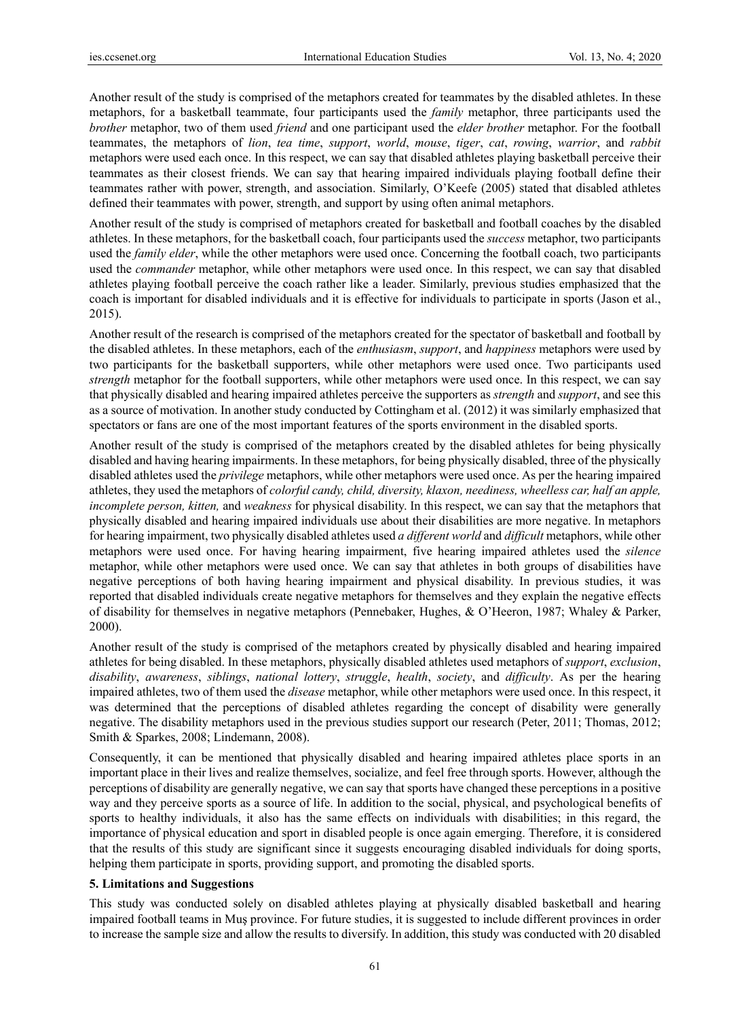Another result of the study is comprised of the metaphors created for teammates by the disabled athletes. In these metaphors, for a basketball teammate, four participants used the *family* metaphor, three participants used the *brother* metaphor, two of them used *friend* and one participant used the *elder brother* metaphor. For the football teammates, the metaphors of *lion*, *tea time*, *support*, *world*, *mouse*, *tiger*, *cat*, *rowing*, *warrior*, and *rabbit* metaphors were used each once. In this respect, we can say that disabled athletes playing basketball perceive their teammates as their closest friends. We can say that hearing impaired individuals playing football define their teammates rather with power, strength, and association. Similarly, O'Keefe (2005) stated that disabled athletes defined their teammates with power, strength, and support by using often animal metaphors.

Another result of the study is comprised of metaphors created for basketball and football coaches by the disabled athletes. In these metaphors, for the basketball coach, four participants used the *success* metaphor, two participants used the *family elder*, while the other metaphors were used once. Concerning the football coach, two participants used the *commander* metaphor, while other metaphors were used once. In this respect, we can say that disabled athletes playing football perceive the coach rather like a leader. Similarly, previous studies emphasized that the coach is important for disabled individuals and it is effective for individuals to participate in sports (Jason et al., 2015).

Another result of the research is comprised of the metaphors created for the spectator of basketball and football by the disabled athletes. In these metaphors, each of the *enthusiasm*, *support*, and *happiness* metaphors were used by two participants for the basketball supporters, while other metaphors were used once. Two participants used *strength* metaphor for the football supporters, while other metaphors were used once. In this respect, we can say that physically disabled and hearing impaired athletes perceive the supporters as *strength* and *support*, and see this as a source of motivation. In another study conducted by Cottingham et al. (2012) it was similarly emphasized that spectators or fans are one of the most important features of the sports environment in the disabled sports.

Another result of the study is comprised of the metaphors created by the disabled athletes for being physically disabled and having hearing impairments. In these metaphors, for being physically disabled, three of the physically disabled athletes used the *privilege* metaphors, while other metaphors were used once. As per the hearing impaired athletes, they used the metaphors of *colorful candy, child, diversity, klaxon, neediness, wheelless car, half an apple, incomplete person, kitten,* and *weakness* for physical disability. In this respect, we can say that the metaphors that physically disabled and hearing impaired individuals use about their disabilities are more negative. In metaphors for hearing impairment, two physically disabled athletes used *a different world* and *difficult* metaphors, while other metaphors were used once. For having hearing impairment, five hearing impaired athletes used the *silence* metaphor, while other metaphors were used once. We can say that athletes in both groups of disabilities have negative perceptions of both having hearing impairment and physical disability. In previous studies, it was reported that disabled individuals create negative metaphors for themselves and they explain the negative effects of disability for themselves in negative metaphors (Pennebaker, Hughes, & O'Heeron, 1987; Whaley & Parker, 2000).

Another result of the study is comprised of the metaphors created by physically disabled and hearing impaired athletes for being disabled. In these metaphors, physically disabled athletes used metaphors of *support*, *exclusion*, *disability*, *awareness*, *siblings*, *national lottery*, *struggle*, *health*, *society*, and *difficulty*. As per the hearing impaired athletes, two of them used the *disease* metaphor, while other metaphors were used once. In this respect, it was determined that the perceptions of disabled athletes regarding the concept of disability were generally negative. The disability metaphors used in the previous studies support our research (Peter, 2011; Thomas, 2012; Smith & Sparkes, 2008; Lindemann, 2008).

Consequently, it can be mentioned that physically disabled and hearing impaired athletes place sports in an important place in their lives and realize themselves, socialize, and feel free through sports. However, although the perceptions of disability are generally negative, we can say that sports have changed these perceptions in a positive way and they perceive sports as a source of life. In addition to the social, physical, and psychological benefits of sports to healthy individuals, it also has the same effects on individuals with disabilities; in this regard, the importance of physical education and sport in disabled people is once again emerging. Therefore, it is considered that the results of this study are significant since it suggests encouraging disabled individuals for doing sports, helping them participate in sports, providing support, and promoting the disabled sports.

#### **5. Limitations and Suggestions**

This study was conducted solely on disabled athletes playing at physically disabled basketball and hearing impaired football teams in Muş province. For future studies, it is suggested to include different provinces in order to increase the sample size and allow the results to diversify. In addition, this study was conducted with 20 disabled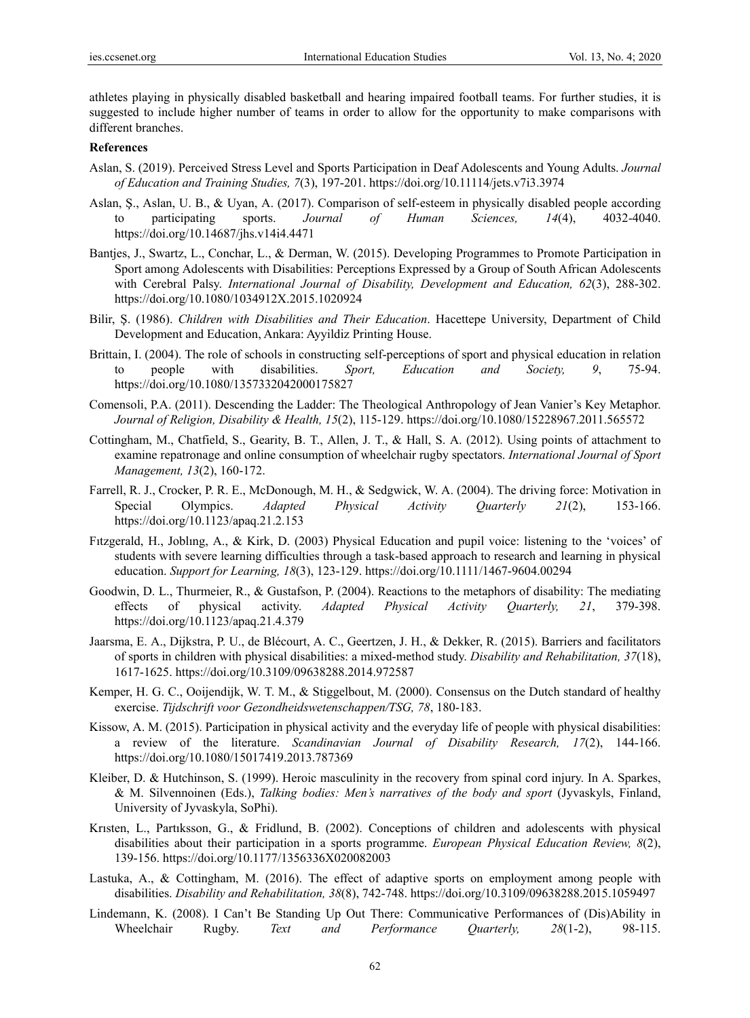athletes playing in physically disabled basketball and hearing impaired football teams. For further studies, it is suggested to include higher number of teams in order to allow for the opportunity to make comparisons with different branches.

### **References**

- Aslan, S. (2019). Perceived Stress Level and Sports Participation in Deaf Adolescents and Young Adults. *Journal of Education and Training Studies, 7*(3), 197-201. https://doi.org/10.11114/jets.v7i3.3974
- Aslan, Ş., Aslan, U. B., & Uyan, A. (2017). Comparison of self-esteem in physically disabled people according to participating sports. *Journal of Human Sciences, 14*(4), 4032-4040. https://doi.org/10.14687/jhs.v14i4.4471
- Bantjes, J., Swartz, L., Conchar, L., & Derman, W. (2015). Developing Programmes to Promote Participation in Sport among Adolescents with Disabilities: Perceptions Expressed by a Group of South African Adolescents with Cerebral Palsy. *International Journal of Disability, Development and Education, 62*(3), 288-302. https://doi.org/10.1080/1034912X.2015.1020924
- Bilir, Ş. (1986). *Children with Disabilities and Their Education*. Hacettepe University, Department of Child Development and Education, Ankara: Ayyildiz Printing House.
- Brittain, I. (2004). The role of schools in constructing self-perceptions of sport and physical education in relation to people with disabilities. *Sport, Education and Society, 9*, 75-94. https://doi.org/10.1080/1357332042000175827
- Comensoli, P.A. (2011). Descending the Ladder: The Theological Anthropology of Jean Vanier's Key Metaphor. *Journal of Religion, Disability & Health, 15*(2), 115-129. https://doi.org/10.1080/15228967.2011.565572
- Cottingham, M., Chatfield, S., Gearity, B. T., Allen, J. T., & Hall, S. A. (2012). Using points of attachment to examine repatronage and online consumption of wheelchair rugby spectators. *International Journal of Sport Management, 13*(2), 160-172.
- Farrell, R. J., Crocker, P. R. E., McDonough, M. H., & Sedgwick, W. A. (2004). The driving force: Motivation in Special Olympics. *Adapted Physical Activity Quarterly 21*(2), 153-166. https://doi.org/10.1123/apaq.21.2.153
- Fıtzgerald, H., Joblıng, A., & Kirk, D. (2003) Physical Education and pupil voice: listening to the 'voices' of students with severe learning difficulties through a task-based approach to research and learning in physical education. *Support for Learning, 18*(3), 123-129. https://doi.org/10.1111/1467-9604.00294
- Goodwin, D. L., Thurmeier, R., & Gustafson, P. (2004). Reactions to the metaphors of disability: The mediating effects of physical activity. *Adapted Physical Activity Quarterly, 21*, 379-398. https://doi.org/10.1123/apaq.21.4.379
- Jaarsma, E. A., Dijkstra, P. U., de Blécourt, A. C., Geertzen, J. H., & Dekker, R. (2015). Barriers and facilitators of sports in children with physical disabilities: a mixed-method study. *Disability and Rehabilitation, 37*(18), 1617-1625. https://doi.org/10.3109/09638288.2014.972587
- Kemper, H. G. C., Ooijendijk, W. T. M., & Stiggelbout, M. (2000). Consensus on the Dutch standard of healthy exercise. *Tijdschrift voor Gezondheidswetenschappen/TSG, 78*, 180-183.
- Kissow, A. M. (2015). Participation in physical activity and the everyday life of people with physical disabilities: a review of the literature. *Scandinavian Journal of Disability Research, 17*(2), 144-166. https://doi.org/10.1080/15017419.2013.787369
- Kleiber, D. & Hutchinson, S. (1999). Heroic masculinity in the recovery from spinal cord injury. In A. Sparkes, & M. Silvennoinen (Eds.), *Talking bodies: Men's narratives of the body and sport* (Jyvaskyls, Finland, University of Jyvaskyla, SoPhi).
- Krısten, L., Partıksson, G., & Fridlund, B. (2002). Conceptions of children and adolescents with physical disabilities about their participation in a sports programme. *European Physical Education Review, 8*(2), 139-156. https://doi.org/10.1177/1356336X020082003
- Lastuka, A., & Cottingham, M. (2016). The effect of adaptive sports on employment among people with disabilities. *Disability and Rehabilitation, 38*(8), 742-748. https://doi.org/10.3109/09638288.2015.1059497
- Lindemann, K. (2008). I Can't Be Standing Up Out There: Communicative Performances of (Dis)Ability in Wheelchair Rugby. *Text and Performance Quarterly, 28*(1-2), 98-115.